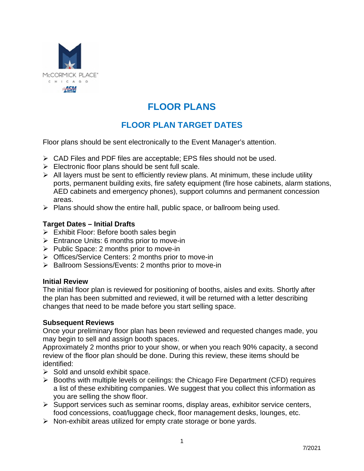

# **FLOOR PLANS**

# **FLOOR PLAN TARGET DATES**

Floor plans should be sent electronically to the Event Manager's attention.

- $\triangleright$  CAD Files and PDF files are acceptable; EPS files should not be used.
- $\triangleright$  Electronic floor plans should be sent full scale.
- $\triangleright$  All layers must be sent to efficiently review plans. At minimum, these include utility ports, permanent building exits, fire safety equipment (fire hose cabinets, alarm stations, AED cabinets and emergency phones), support columns and permanent concession areas.
- $\triangleright$  Plans should show the entire hall, public space, or ballroom being used.

# **Target Dates – Initial Drafts**

- $\triangleright$  Exhibit Floor: Before booth sales begin
- $\triangleright$  Entrance Units: 6 months prior to move-in
- $\triangleright$  Public Space: 2 months prior to move-in
- ▶ Offices/Service Centers: 2 months prior to move-in
- $\triangleright$  Ballroom Sessions/Events: 2 months prior to move-in

#### **Initial Review**

The initial floor plan is reviewed for positioning of booths, aisles and exits. Shortly after the plan has been submitted and reviewed, it will be returned with a letter describing changes that need to be made before you start selling space.

#### **Subsequent Reviews**

Once your preliminary floor plan has been reviewed and requested changes made, you may begin to sell and assign booth spaces.

Approximately 2 months prior to your show, or when you reach 90% capacity, a second review of the floor plan should be done. During this review, these items should be identified:

- $\triangleright$  Sold and unsold exhibit space.
- $\triangleright$  Booths with multiple levels or ceilings: the Chicago Fire Department (CFD) requires a list of these exhibiting companies. We suggest that you collect this information as you are selling the show floor.
- $\triangleright$  Support services such as seminar rooms, display areas, exhibitor service centers, food concessions, coat/luggage check, floor management desks, lounges, etc.
- $\triangleright$  Non-exhibit areas utilized for empty crate storage or bone yards.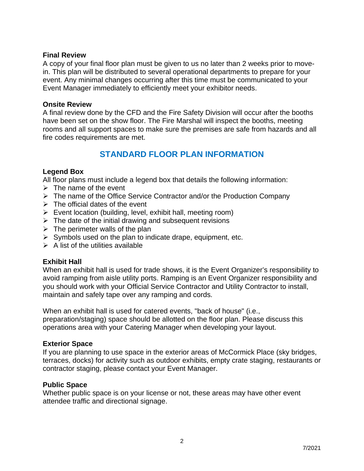#### **Final Review**

A copy of your final floor plan must be given to us no later than 2 weeks prior to movein. This plan will be distributed to several operational departments to prepare for your event. Any minimal changes occurring after this time must be communicated to your Event Manager immediately to efficiently meet your exhibitor needs.

#### **Onsite Review**

A final review done by the CFD and the Fire Safety Division will occur after the booths have been set on the show floor. The Fire Marshal will inspect the booths, meeting rooms and all support spaces to make sure the premises are safe from hazards and all fire codes requirements are met.

# **STANDARD FLOOR PLAN INFORMATION**

#### **Legend Box**

All floor plans must include a legend box that details the following information:

- $\triangleright$  The name of the event
- $\triangleright$  The name of the Office Service Contractor and/or the Production Company
- $\triangleright$  The official dates of the event
- $\triangleright$  Event location (building, level, exhibit hall, meeting room)
- $\triangleright$  The date of the initial drawing and subsequent revisions
- $\triangleright$  The perimeter walls of the plan
- $\triangleright$  Symbols used on the plan to indicate drape, equipment, etc.
- $\triangleright$  A list of the utilities available

# **Exhibit Hall**

When an exhibit hall is used for trade shows, it is the Event Organizer's responsibility to avoid ramping from aisle utility ports. Ramping is an Event Organizer responsibility and you should work with your Official Service Contractor and Utility Contractor to install, maintain and safely tape over any ramping and cords.

When an exhibit hall is used for catered events, "back of house" (i.e., preparation/staging) space should be allotted on the floor plan. Please discuss this operations area with your Catering Manager when developing your layout.

#### **Exterior Space**

If you are planning to use space in the exterior areas of McCormick Place (sky bridges, terraces, docks) for activity such as outdoor exhibits, empty crate staging, restaurants or contractor staging, please contact your Event Manager.

#### **Public Space**

Whether public space is on your license or not, these areas may have other event attendee traffic and directional signage.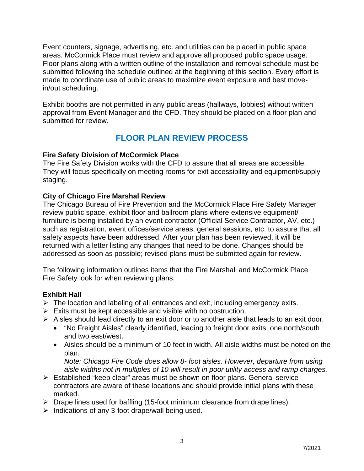Event counters, signage, advertising, etc. and utilities can be placed in public space areas. McCormick Place must review and approve all proposed public space usage. Floor plans along with a written outline of the installation and removal schedule must be submitted following the schedule outlined at the beginning of this section. Every effort is made to coordinate use of public areas to maximize event exposure and best movein/out scheduling.

Exhibit booths are not permitted in any public areas (hallways, lobbies) without written approval from Event Manager and the CFD. They should be placed on a floor plan and submitted for review.

# **FLOOR PLAN REVIEW PROCESS**

# **Fire Safety Division of McCormick Place**

The Fire Safety Division works with the CFD to assure that all areas are accessible. They will focus specifically on meeting rooms for exit accessibility and equipment/supply staging.

# **City of Chicago Fire Marshal Review**

The Chicago Bureau of Fire Prevention and the McCormick Place Fire Safety Manager review public space, exhibit floor and ballroom plans where extensive equipment/ furniture is being installed by an event contractor (Official Service Contractor, AV, etc.) such as registration, event offices/service areas, general sessions, etc. to assure that all safety aspects have been addressed. After your plan has been reviewed, it will be returned with a letter listing any changes that need to be done. Changes should be addressed as soon as possible; revised plans must be submitted again for review.

The following information outlines items that the Fire Marshall and McCormick Place Fire Safety look for when reviewing plans.

# **Exhibit Hall**

- $\triangleright$  The location and labeling of all entrances and exit, including emergency exits.
- $\triangleright$  Exits must be kept accessible and visible with no obstruction.
- $\triangleright$  Aisles should lead directly to an exit door or to another aisle that leads to an exit door.
	- "No Freight Aisles" clearly identified, leading to freight door exits; one north/south and two east/west.
	- Aisles should be a minimum of 10 feet in width. All aisle widths must be noted on the plan.

*Note: Chicago Fire Code does allow 8- foot aisles. However, departure from using aisle widths not in multiples of 10 will result in poor utility access and ramp charges.* 

- Established "keep clear" areas must be shown on floor plans. General service contractors are aware of these locations and should provide initial plans with these marked.
- $\triangleright$  Drape lines used for baffling (15-foot minimum clearance from drape lines).
- $\triangleright$  Indications of any 3-foot drape/wall being used.